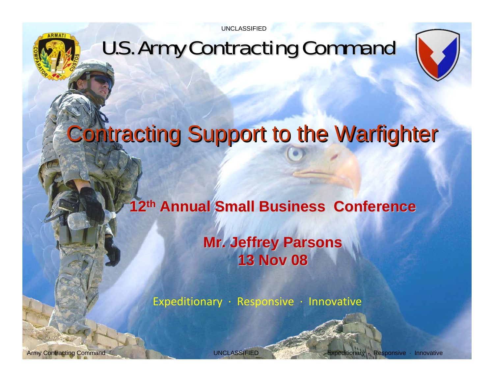



# **Contracting Support to the Warfighter**

**12th Annual Small Business Conference Annual Small Business Conference Mr. Jeffrey Parsons Mr. Jeffrey Parsons 13 Nov 08 13 Nov 08**

Expeditionary <sup>∙</sup> Responsive <sup>∙</sup> Innovative

Army Contracting Command Army Contracting Command Army Army Contracting Command Army and UNCLASSIFIED Expeditionary Responsive · Innovative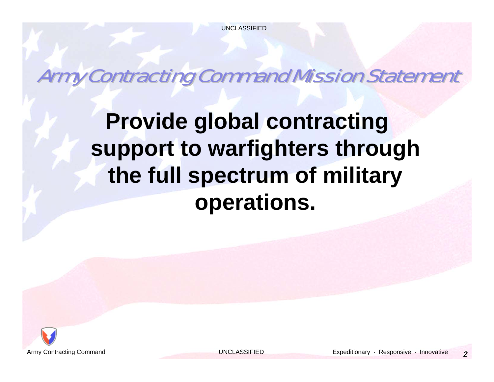Army Contracting Command Mission Statement Army Contracting Command Mission Statement

**Provide global contracting support to warfighters through the full spectrum of military operations.**

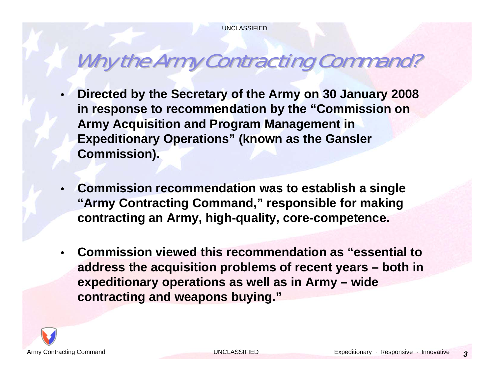## Why the Army Contracting Command?

- • **Directed by the Secretary of the Army on 30 January 2008 in response to recommendation by the "Commission on Army Acquisition and Program Management in Expeditionary Operations" (known as the Gansler Commission).**
- • **Commission recommendation was to establish a single "Army Contracting Command," responsible for making contracting an Army, high-quality, core-competence.**
- • **Commission viewed this recommendation as "essential to address the acquisition problems of recent years – both in expeditionary operations as well as in Army – wide contracting and weapons buying."**

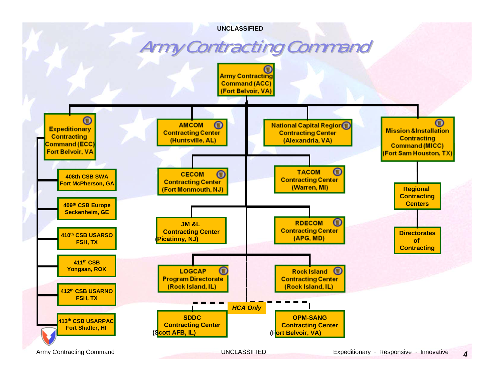#### **Army Contracting Command**

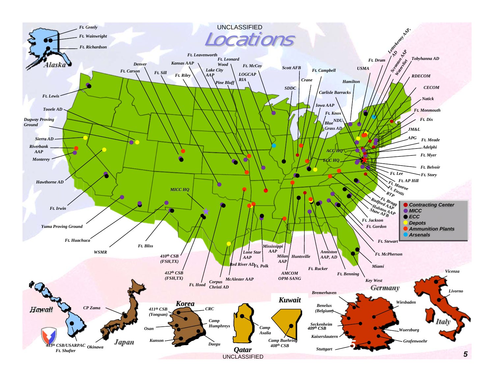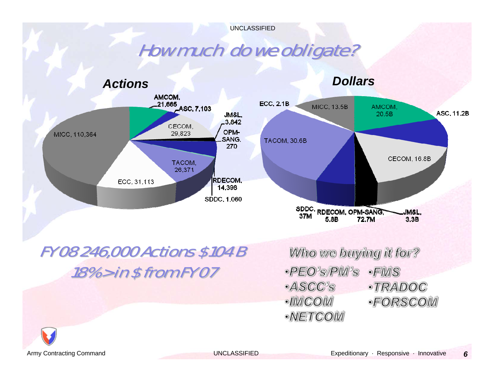### How much do we obligate?



*Dollars*



#### FY 08 246,000 Actions \$104 B FY 08 246,000 Actions \$104 B  $18\%$  > in \$ from FY 07

Who we buying it for? ·PEO'S PM'S  $\cdot$ FIVIS ·ASCC's ·TRADOC ·IIMCOM ·FORSCOM ·NETCOM

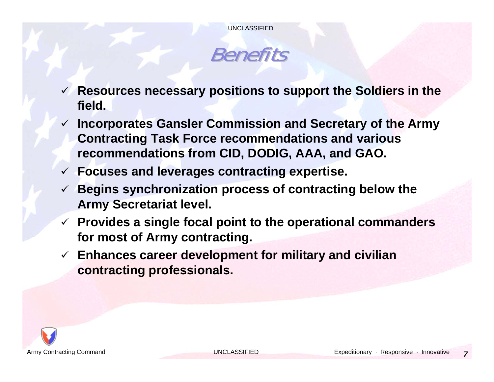

- 9 **Resources necessary positions to support the Soldiers in the field.**
- 9 **Incorporates Gansler Commission and Secretary of the Army Contracting Task Force recommendations and various recommendations from CID, DODIG, AAA, and GAO.**
- 9 **Focuses and leverages contracting expertise.**
- 9 **Begins synchronization process of contracting below the Army Secretariat level.**
- 9 **Provides a single focal point to the operational commanders for most of Army contracting.**
- 9 **Enhances career development for military and civilian contracting professionals.**